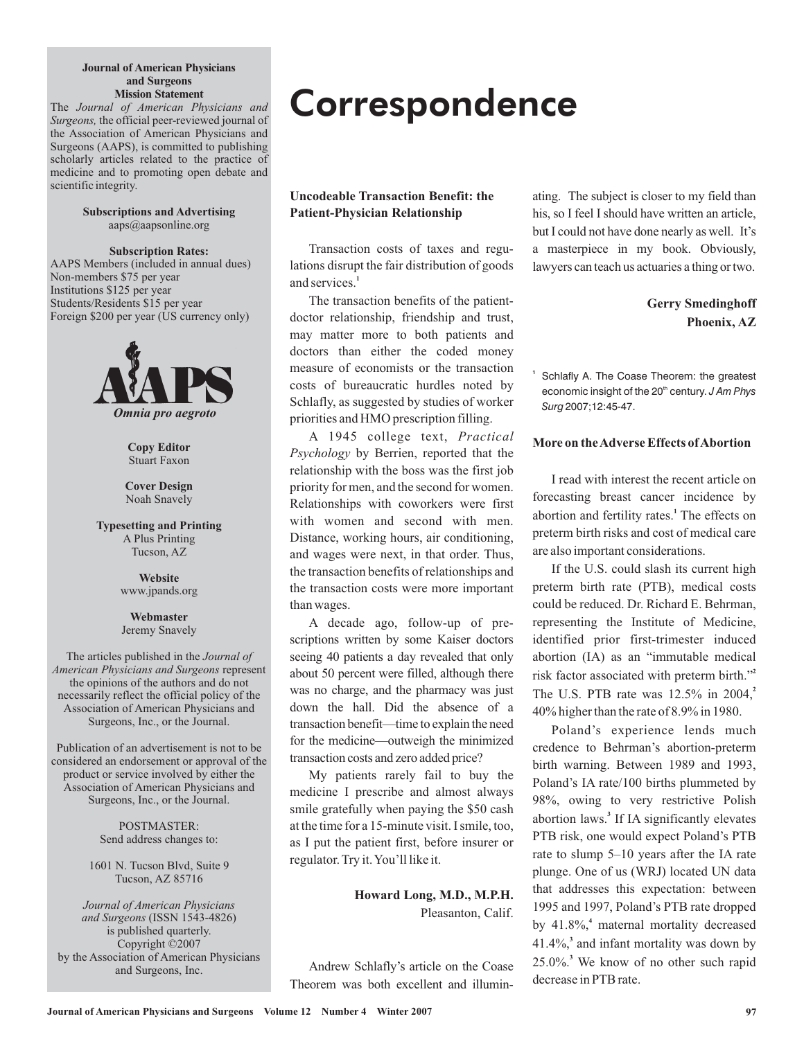#### **Journal of American Physicians and Surgeons Mission Statement**

The *Journal of American Physicians and* Surgeons, the official peer-reviewed journal of the Association of American Physicians and Surgeons (AAPS), is committed to publishing scholarly articles related to the practice of medicine and to promoting open debate and scientific integrity.

> **Subscriptions and Advertising** aaps@aapsonline.org

**Subscription Rates:** AAPS Members (included in annual dues) Non-members \$75 per year Institutions \$125 per year Students/Residents \$15 per year Foreign \$200 per year (US currency only)



**Copy Editor** Stuart Faxon

**Cover Design** Noah Snavely

**Typesetting and Printing** A Plus Printing Tucson, AZ

> www.jpands.org **Website**

**Webmaster** Jeremy Snavely

Surgeons, Inc., or the Journal. The articles published in the *Journal of* **American Physicians and Surgeons represent** the opinions of the authors and do not necessarily reflect the official policy of the Association of American Physicians and

Surgeons, Inc., or the Journal. Publication of an advertisement is not to be considered an endorsement or approval of the product or service involved by either the Association of American Physicians and

> POSTMASTER: Send address changes to:

1601 N. Tucson Blvd, Suite 9 Tucson, AZ 85716

(ISSN 1543-4826) *and Surgeons* is published quarterly. Copyright ©2007 by the Association of American Physicians and Surgeons, Inc. *Journal of American Physicians*

# **Correspondence**

## **Uncodeable Transaction Benefit: the Patient-Physician Relationship**

Transaction costs of taxes and regulations disrupt the fair distribution of goods and services. **1**

The transaction benefits of the patientdoctor relationship, friendship and trust, may matter more to both patients and doctors than either the coded money measure of economists or the transaction costs of bureaucratic hurdles noted by Schlafly, as suggested by studies of worker priorities and HMO prescription filling.

A 1945 college text, *Practical* Psychology by Berrien, reported that the relationship with the boss was the first job priority for men, and the second for women. Relationships with coworkers were first with women and second with men. Distance, working hours, air conditioning, and wages were next, in that order. Thus, the transaction benefits of relationships and the transaction costs were more important than wages.

A decade ago, follow-up of prescriptions written by some Kaiser doctors seeing 40 patients a day revealed that only about 50 percent were filled, although there was no charge, and the pharmacy was just down the hall. Did the absence of a transaction benefit—time to explain the need for the medicine—outweigh the minimized transaction costs and zero added price?

My patients rarely fail to buy the medicine I prescribe and almost always smile gratefully when paying the \$50 cash at the time for a 15-minute visit. I smile, too, as I put the patient first, before insurer or regulator. Try it.You'll like it.

> **Howard Long, M.D., M.P.H.** Pleasanton, Calif.

Andrew Schlafly's article on the Coase Theorem was both excellent and illuminating. The subject is closer to my field than his, so I feel I should have written an article, but I could not have done nearly as well. It's a masterpiece in my book. Obviously, lawyers can teach us actuaries a thing or two.

## **Gerry Smedinghoff Phoenix, AZ**

Schlafly A. The Coase Theorem: the greatest economic insight of the 20<sup>th</sup> century. J Am Phys 2007;12:45-47. *Surg*

**1**

## **More on theAdverse Effects ofAbortion**

I read with interest the recent article on forecasting breast cancer incidence by abortion and fertility rates.<sup>1</sup> The effects on preterm birth risks and cost of medical care are also important considerations.

If the U.S. could slash its current high preterm birth rate (PTB), medical costs could be reduced. Dr. Richard E. Behrman, representing the Institute of Medicine, identified prior first-trimester induced abortion (IA) as an "immutable medical risk factor associated with preterm birth." **2** The U.S. PTB rate was 12.5% in 2004, **2** 40% higher than the rate of 8.9% in 1980.

Poland's experience lends much credence to Behrman's abortion-preterm birth warning. Between 1989 and 1993, Poland's IA rate/100 births plummeted by 98%, owing to very restrictive Polish abortion laws.<sup>3</sup> If IA significantly elevates PTB risk, one would expect Poland's PTB rate to slump 5–10 years after the IA rate plunge. One of us (WRJ) located UN data that addresses this expectation: between 1995 and 1997, Poland's PTB rate dropped by 41.8%,<sup>4</sup> maternal mortality decreased 41.4%, and infant mortality was down by **3** 25.0%. We know of no other such rapid **3**decrease in PTB rate.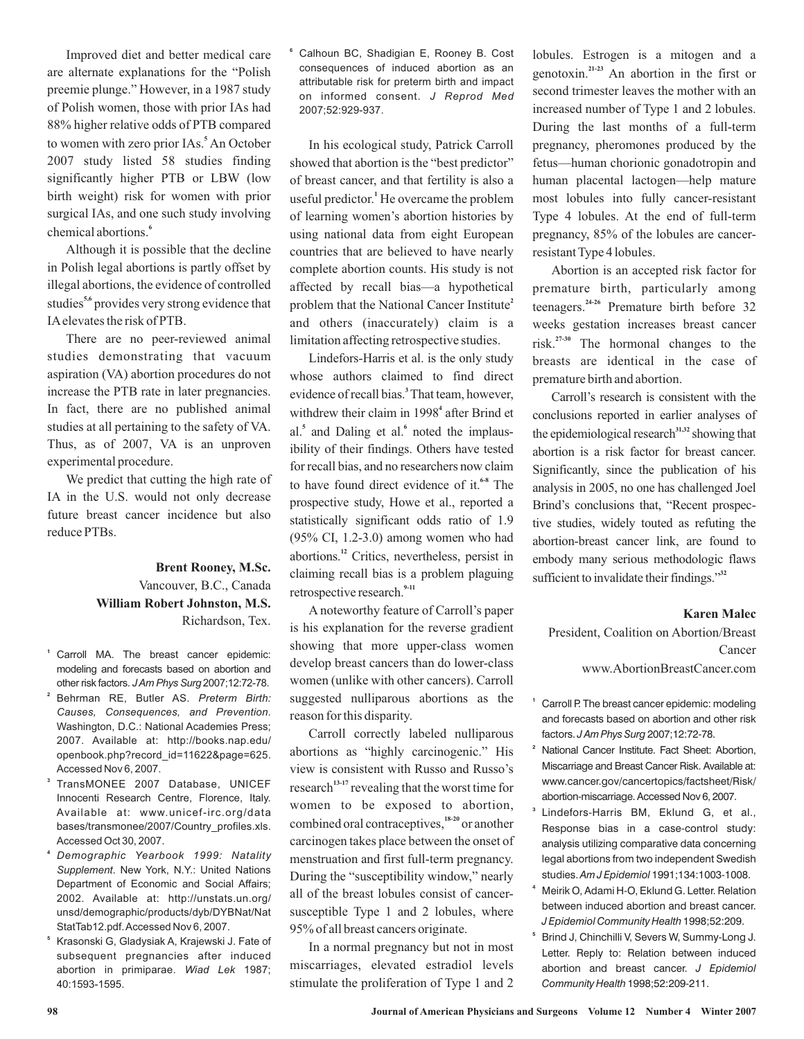Improved diet and better medical care are alternate explanations for the "Polish preemie plunge." However, in a 1987 study of Polish women, those with prior IAs had 88% higher relative odds of PTB compared to women with zero prior IAs.<sup>5</sup> An October 2007 study listed 58 studies finding significantly higher PTB or LBW (low birth weight) risk for women with prior surgical IAs, and one such study involving chemical abortions. **6**

Although it is possible that the decline in Polish legal abortions is partly offset by illegal abortions, the evidence of controlled studies<sup>5,6</sup> provides very strong evidence that IAelevates the risk of PTB.

There are no peer-reviewed animal studies demonstrating that vacuum aspiration (VA) abortion procedures do not increase the PTB rate in later pregnancies. In fact, there are no published animal studies at all pertaining to the safety of VA. Thus, as of 2007, VA is an unproven experimental procedure.

We predict that cutting the high rate of IA in the U.S. would not only decrease future breast cancer incidence but also reduce PTBs.

## Vancouver, B.C., Canada Richardson, Tex. **Brent Rooney, M.Sc. William Robert Johnston, M.S.**

- **1** Carroll MA. The breast cancer epidemic: modeling and forecasts based on abortion and other risk factors. *J Am Phys Surg* 2007;12:72-78.
- **2** Behrman RE, Butler AS. *Preterm Birth:* . *Causes, Consequences, and Prevention* Washington, D.C.: National Academies Press; 2007. Available at: http://books.nap.edu/ openbook.php?record\_id=11622&page=625. Accessed Nov 6, 2007.
- **3** TransMONEE 2007 Database, UNICEF Innocenti Research Centre, Florence, Italy. Available at: www.unicef-irc.org/data bases/transmonee/2007/Country\_profiles.xls. Accessed Oct 30, 2007.
- **4** *Demographic Yearbook 1999: Natality* Supplement. New York, N.Y.: United Nations Department of Economic and Social Affairs; 2002. Available at: http://unstats.un.org/ unsd/demographic/products/dyb/DYBNat/Nat StatTab12.pdf.Accessed Nov 6, 2007.
- **5** Krasonski G, Gladysiak A, Krajewski J. Fate of subsequent pregnancies after induced abortion in primiparae. Wiad Lek 1987; 40:1593-1595.

**6** Calhoun BC, Shadigian E, Rooney B. Cost consequences of induced abortion as an attributable risk for preterm birth and impact on informed consent. *J Reprod Med* 2007;52:929-937.

In his ecological study, Patrick Carroll showed that abortion is the "best predictor" of breast cancer, and that fertility is also a useful predictor.<sup>1</sup> He overcame the problem of learning women's abortion histories by using national data from eight European countries that are believed to have nearly complete abortion counts. His study is not affected by recall bias—a hypothetical problem that the National Cancer Institute **2** and others (inaccurately) claim is a limitation affecting retrospective studies.

Lindefors-Harris et al. is the only study whose authors claimed to find direct evidence of recall bias.<sup>3</sup> That team, however, withdrew their claim in 1998<sup>4</sup> after Brind et al.<sup>5</sup> and Daling et al.<sup>6</sup> noted the implausibility of their findings. Others have tested for recall bias, and no researchers now claim to have found direct evidence of it.<sup>6-8</sup> The prospective study, Howe et al., reported a statistically significant odds ratio of 1.9 (95% CI, 1.2-3.0) among women who had abortions.<sup>12</sup> Critics, nevertheless, persist in claiming recall bias is a problem plaguing retrospective research. **9-11**

A noteworthy feature of Carroll's paper is his explanation for the reverse gradient showing that more upper-class women develop breast cancers than do lower-class women (unlike with other cancers). Carroll suggested nulliparous abortions as the reason for this disparity.

Carroll correctly labeled nulliparous abortions as "highly carcinogenic." His view is consistent with Russo and Russo's research<sup>13-17</sup> revealing that the worst time for women to be exposed to abortion, combined oral contraceptives,<sup>18-20</sup> or another carcinogen takes place between the onset of menstruation and first full-term pregnancy. During the "susceptibility window," nearly all of the breast lobules consist of cancersusceptible Type 1 and 2 lobules, where 95% of all breast cancers originate.

In a normal pregnancy but not in most miscarriages, elevated estradiol levels stimulate the proliferation of Type 1 and 2

lobules. Estrogen is a mitogen and a genotoxin.<sup>21-23</sup> An abortion in the first or second trimester leaves the mother with an increased number of Type 1 and 2 lobules. During the last months of a full-term pregnancy, pheromones produced by the fetus—human chorionic gonadotropin and human placental lactogen—help mature most lobules into fully cancer-resistant Type 4 lobules. At the end of full-term pregnancy, 85% of the lobules are cancerresistant Type 4 lobules.

Abortion is an accepted risk factor for premature birth, particularly among teenagers.<sup>24-26</sup> Premature birth before 32 weeks gestation increases breast cancer risk.<sup>27-30</sup> The hormonal changes to the breasts are identical in the case of premature birth and abortion.

Carroll's research is consistent with the conclusions reported in earlier analyses of the epidemiological research<sup>31,32</sup> showing that abortion is a risk factor for breast cancer. Significantly, since the publication of his analysis in 2005, no one has challenged Joel Brind's conclusions that, "Recent prospective studies, widely touted as refuting the abortion-breast cancer link, are found to embody many serious methodologic flaws sufficient to invalidate their findings." **32**

## **Karen Malec**

President, Coalition on Abortion/Breast Cancer www.AbortionBreastCancer.com

- **1** Carroll P. The breast cancer epidemic: modeling and forecasts based on abortion and other risk factors. *J Am Phys Surg* 2007;12:72-78.
- **2** National Cancer Institute. Fact Sheet: Abortion, Miscarriage and Breast Cancer Risk. Available at: www.cancer.gov/cancertopics/factsheet/Risk/ abortion-miscarriage. Accessed Nov 6, 2007.
- **3** Lindefors-Harris BM, Eklund G, et al., Response bias in a case-control study: analysis utilizing comparative data concerning legal abortions from two independent Swedish studies. Am J Epidemiol 1991;134:1003-1008.
- **4** Meirik O, Adami H-O, Eklund G. Letter. Relation between induced abortion and breast cancer. 1998;52:209. *J Epidemiol Community Health*
- **5** Brind J, Chinchilli V, Severs W, Summy-Long J. Letter. Reply to: Relation between induced abortion and breast cancer. *J Epidemiol* 1998;52:209-211. *Community Health*